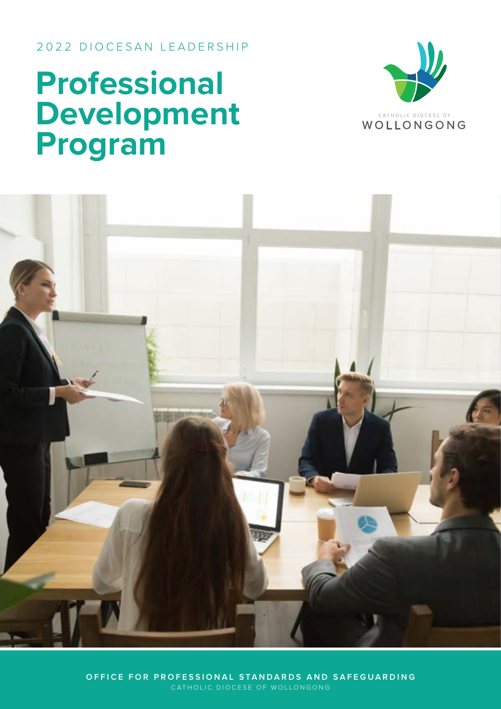2022 DIOCESAN LEADERSHIP

# **Professional Development Program**





**OFFICE FOR PROFESSIONAL STANDARDS AND SAFEGUARDING** CATHOLIC DIOCESE OF WOLLONGONG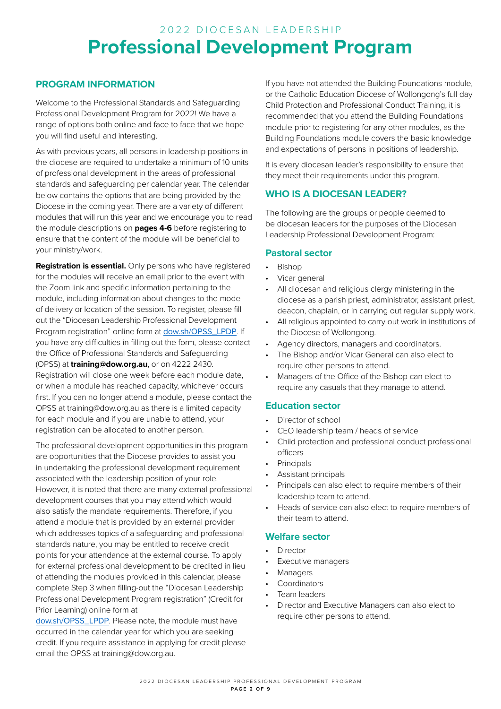# **Professional Development Program** 2022 DIOCESAN LEADERSHIP

# **PROGRAM INFORMATION**

Welcome to the Professional Standards and Safeguarding Professional Development Program for 2022! We have a range of options both online and face to face that we hope you will find useful and interesting.

As with previous years, all persons in leadership positions in the diocese are required to undertake a minimum of 10 units of professional development in the areas of professional standards and safeguarding per calendar year. The calendar below contains the options that are being provided by the Diocese in the coming year. There are a variety of different modules that will run this year and we encourage you to read the module descriptions on **pages 4-6** before registering to ensure that the content of the module will be beneficial to your ministry/work.

**Registration is essential.** Only persons who have registered for the modules will receive an email prior to the event with the Zoom link and specific information pertaining to the module, including information about changes to the mode of delivery or location of the session. To register, please fill out the "Diocesan Leadership Professional Development Program registration" online form at [dow.sh/OPSS\\_LPDP](https://dow.sh/OPSS_LPDP). If you have any difficulties in filling out the form, please contact the Office of Professional Standards and Safeguarding (OPSS) at **training@dow.org.au**, or on 4222 2430. Registration will close one week before each module date, or when a module has reached capacity, whichever occurs first. If you can no longer attend a module, please contact the OPSS at training@dow.org.au as there is a limited capacity for each module and if you are unable to attend, your registration can be allocated to another person.

The professional development opportunities in this program are opportunities that the Diocese provides to assist you in undertaking the professional development requirement associated with the leadership position of your role. However, it is noted that there are many external professional development courses that you may attend which would also satisfy the mandate requirements. Therefore, if you attend a module that is provided by an external provider which addresses topics of a safeguarding and professional standards nature, you may be entitled to receive credit points for your attendance at the external course. To apply for external professional development to be credited in lieu of attending the modules provided in this calendar, please complete Step 3 when filling-out the "Diocesan Leadership Professional Development Program registration" (Credit for Prior Learning) online form at

[dow.sh/OPSS\\_LPDP](https://dow.sh/OPSS_LPDP). Please note, the module must have occurred in the calendar year for which you are seeking credit. If you require assistance in applying for credit please email the OPSS at training@dow.org.au.

If you have not attended the Building Foundations module, or the Catholic Education Diocese of Wollongong's full day Child Protection and Professional Conduct Training, it is recommended that you attend the Building Foundations module prior to registering for any other modules, as the Building Foundations module covers the basic knowledge and expectations of persons in positions of leadership.

It is every diocesan leader's responsibility to ensure that they meet their requirements under this program.

# **WHO IS A DIOCESAN LEADER?**

The following are the groups or people deemed to be diocesan leaders for the purposes of the Diocesan Leadership Professional Development Program:

## **Pastoral sector**

- Bishop
- Vicar general
- All diocesan and religious clergy ministering in the diocese as a parish priest, administrator, assistant priest, deacon, chaplain, or in carrying out regular supply work.
- All religious appointed to carry out work in institutions of the Diocese of Wollongong.
- Agency directors, managers and coordinators.
- The Bishop and/or Vicar General can also elect to require other persons to attend.
- Managers of the Office of the Bishop can elect to require any casuals that they manage to attend.

# **Education sector**

- Director of school
- CEO leadership team / heads of service
- Child protection and professional conduct professional officers
- **Principals**
- Assistant principals
- Principals can also elect to require members of their leadership team to attend.
- Heads of service can also elect to require members of their team to attend.

## **Welfare sector**

- **Director**
- Executive managers
- **Managers**
- **Coordinators**
- Team leaders
- Director and Executive Managers can also elect to require other persons to attend.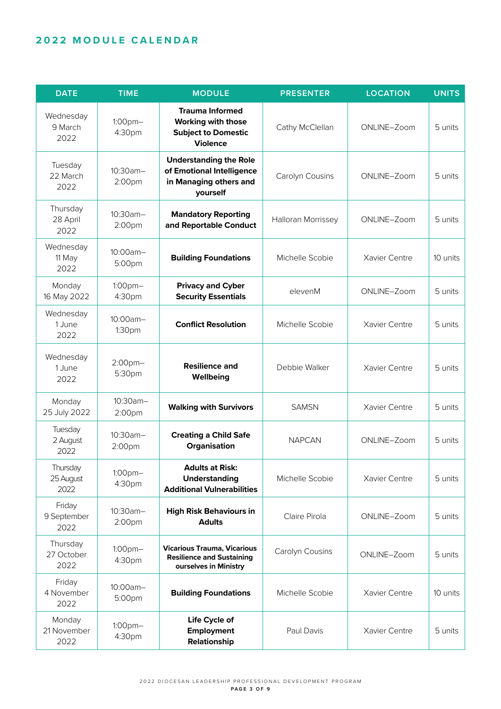# **2022 MODULE CALENDAR**

| <b>DATE</b>                    | <b>TIME</b>             | <b>MODULE</b>                                                                                        | <b>PRESENTER</b>   | <b>LOCATION</b> | <b>UNITS</b> |
|--------------------------------|-------------------------|------------------------------------------------------------------------------------------------------|--------------------|-----------------|--------------|
| Wednesday<br>9 March<br>2022   | $1:00$ pm $-$<br>4:30pm | <b>Trauma Informed</b><br><b>Working with those</b><br><b>Subject to Domestic</b><br><b>Violence</b> | Cathy McClellan    | ONLINE-Zoom     | 5 units      |
| Tuesday<br>22 March<br>2022    | 10:30am-<br>2:00pm      | <b>Understanding the Role</b><br>of Emotional Intelligence<br>in Managing others and<br>yourself     | Carolyn Cousins    | ONLINE-Zoom     | 5 units      |
| Thursday<br>28 April<br>2022   | 10:30am-<br>2:00pm      | <b>Mandatory Reporting</b><br>and Reportable Conduct                                                 | Halloran Morrissey | ONLINE-Zoom     | 5 units      |
| Wednesday<br>11 May<br>2022    | 10:00am-<br>5:00pm      | <b>Building Foundations</b>                                                                          | Michelle Scobie    | Xavier Centre   | 10 units     |
| Monday<br>16 May 2022          | $1:00$ pm $-$<br>4:30pm | <b>Privacy and Cyber</b><br><b>Security Essentials</b>                                               | elevenM            | ONLINE-Zoom     | 5 units      |
| Wednesday<br>1 June<br>2022    | 10:00am-<br>1:30pm      | <b>Conflict Resolution</b>                                                                           | Michelle Scobie    | Xavier Centre   | 5 units      |
| Wednesday<br>1 June<br>2022    | 2:00pm-<br>5:30pm       | <b>Resilience and</b><br>Wellbeing                                                                   | Debbie Walker      | Xavier Centre   | 5 units      |
| Monday<br>25 July 2022         | 10:30am-<br>2:00pm      | <b>Walking with Survivors</b>                                                                        | <b>SAMSN</b>       | Xavier Centre   | 5 units      |
| Tuesday<br>2 August<br>2022    | 10:30am-<br>2:00pm      | <b>Creating a Child Safe</b><br>Organisation                                                         | <b>NAPCAN</b>      | ONLINE-Zoom     | 5 units      |
| Thursday<br>25 August<br>2022  | $1:00$ pm $-$<br>4:30pm | <b>Adults at Risk:</b><br><b>Understanding</b><br><b>Additional Vulnerabilities</b>                  | Michelle Scobie    | Xavier Centre   | 5 units      |
| Friday<br>9 September<br>2022  | 10:30am-<br>2:00pm      | <b>High Risk Behaviours in</b><br><b>Adults</b>                                                      | Claire Pirola      | ONLINE-Zoom     | 5 units      |
| Thursday<br>27 October<br>2022 | $1:00$ pm $-$<br>4:30pm | <b>Vicarious Trauma, Vicarious</b><br><b>Resilience and Sustaining</b><br>ourselves in Ministry      | Carolyn Cousins    | ONLINE-Zoom     | 5 units      |
| Friday<br>4 November<br>2022   | 10:00am-<br>5:00pm      | <b>Building Foundations</b>                                                                          | Michelle Scobie    | Xavier Centre   | 10 units     |
| Monday<br>21 November<br>2022  | 1:00pm-<br>4:30pm       | Life Cycle of<br><b>Employment</b><br>Relationship                                                   | Paul Davis         | Xavier Centre   | 5 units      |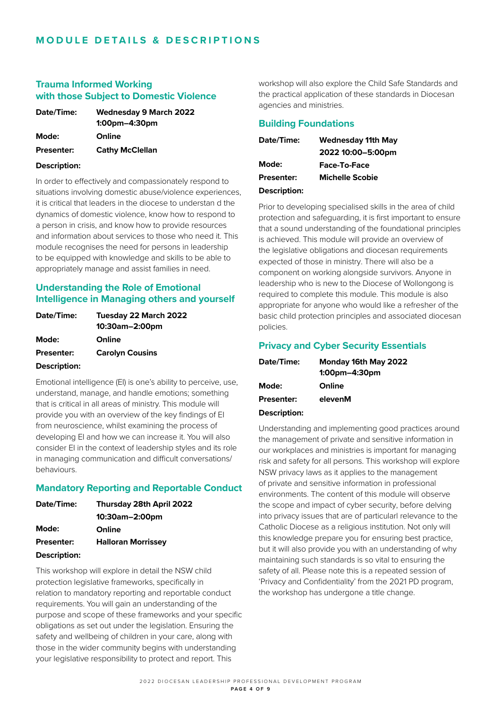#### **Trauma Informed Working with those Subject to Domestic Violence**

| Date/Time:        | <b>Wednesday 9 March 2022</b><br>$1:00$ pm $-4:30$ pm |
|-------------------|-------------------------------------------------------|
| Mode:             | Online                                                |
| <b>Presenter:</b> | <b>Cathy McClellan</b>                                |

#### **Description:**

In order to effectively and compassionately respond to situations involving domestic abuse/violence experiences, it is critical that leaders in the diocese to understan d the dynamics of domestic violence, know how to respond to a person in crisis, and know how to provide resources and information about services to those who need it. This module recognises the need for persons in leadership to be equipped with knowledge and skills to be able to appropriately manage and assist families in need.

# **Understanding the Role of Emotional Intelligence in Managing others and yourself**

| Date/Time:          | Tuesday 22 March 2022  |
|---------------------|------------------------|
|                     | 10:30am-2:00pm         |
| Mode:               | Online                 |
| <b>Presenter:</b>   | <b>Carolyn Cousins</b> |
| <b>Description:</b> |                        |

Emotional intelligence (EI) is one's ability to perceive, use, understand, manage, and handle emotions; something that is critical in all areas of ministry. This module will provide you with an overview of the key findings of EI from neuroscience, whilst examining the process of developing EI and how we can increase it. You will also consider EI in the context of leadership styles and its role in managing communication and difficult conversations/ behaviours.

## **Mandatory Reporting and Reportable Conduct**

| Date/Time:          | Thursday 28th April 2022  |
|---------------------|---------------------------|
|                     | 10:30am-2:00pm            |
| Mode:               | Online                    |
| <b>Presenter:</b>   | <b>Halloran Morrissey</b> |
| <b>Description:</b> |                           |

This workshop will explore in detail the NSW child protection legislative frameworks, specifically in relation to mandatory reporting and reportable conduct requirements. You will gain an understanding of the purpose and scope of these frameworks and your specific obligations as set out under the legislation. Ensuring the safety and wellbeing of children in your care, along with those in the wider community begins with understanding your legislative responsibility to protect and report. This

workshop will also explore the Child Safe Standards and the practical application of these standards in Diocesan agencies and ministries.

# **Building Foundations**

| Date/Time:          | <b>Wednesday 11th May</b> |
|---------------------|---------------------------|
|                     | 2022 10:00-5:00pm         |
| Mode:               | Face-To-Face              |
| <b>Presenter:</b>   | <b>Michelle Scobie</b>    |
| <b>Description:</b> |                           |

Prior to developing specialised skills in the area of child protection and safeguarding, it is first important to ensure that a sound understanding of the foundational principles is achieved. This module will provide an overview of the legislative obligations and diocesan requirements expected of those in ministry. There will also be a component on working alongside survivors. Anyone in leadership who is new to the Diocese of Wollongong is required to complete this module. This module is also appropriate for anyone who would like a refresher of the basic child protection principles and associated diocesan policies.

#### **Privacy and Cyber Security Essentials**

| Date/Time:        | Monday 16th May 2022 |
|-------------------|----------------------|
|                   | $1:00$ pm $-4:30$ pm |
| Mode:             | Online               |
| <b>Presenter:</b> | elevenM              |
| Description:      |                      |

Understanding and implementing good practices around the management of private and sensitive information in our workplaces and ministries is important for managing risk and safety for all persons. This workshop will explore NSW privacy laws as it applies to the management of private and sensitive information in professional environments. The content of this module will observe the scope and impact of cyber security, before delving into privacy issues that are of particularl relevance to the Catholic Diocese as a religious institution. Not only will this knowledge prepare you for ensuring best practice, but it will also provide you with an understanding of why maintaining such standards is so vital to ensuring the safety of all. Please note this is a repeated session of 'Privacy and Confidentiality' from the 2021 PD program, the workshop has undergone a title change.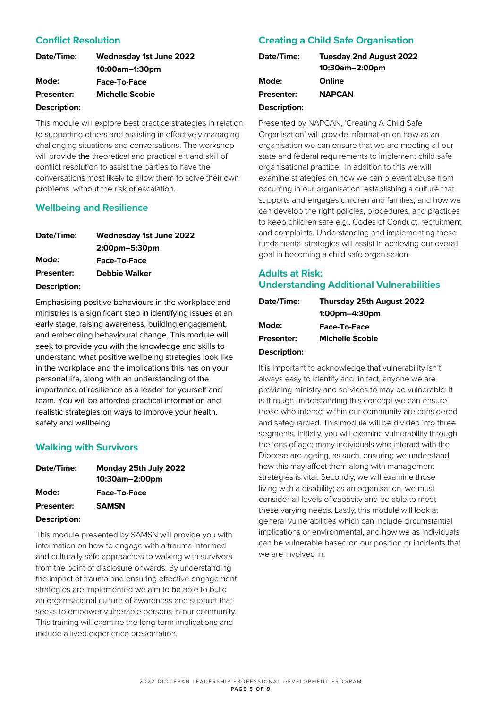# **Conflict Resolution**

| Date/Time:        | <b>Wednesday 1st June 2022</b> |
|-------------------|--------------------------------|
|                   | 10:00am-1:30pm                 |
| Mode:             | Face-To-Face                   |
| <b>Presenter:</b> | <b>Michelle Scobie</b>         |
| Description:      |                                |

This module will explore best practice strategies in relation to supporting others and assisting in effectively managing challenging situations and conversations. The workshop will provide the theoretical and practical art and skill of conflict resolution to assist the parties to have the conversations most likely to allow them to solve their own problems, without the risk of escalation.

## **Wellbeing and Resilience**

| Date/Time:        | <b>Wednesday 1st June 2022</b> |
|-------------------|--------------------------------|
|                   | 2:00pm-5:30pm                  |
| Mode:             | Face-To-Face                   |
| <b>Presenter:</b> | <b>Debbie Walker</b>           |
| Description:      |                                |

Emphasising positive behaviours in the workplace and ministries is a significant step in identifying issues at an early stage, raising awareness, building engagement, and embedding behavioural change. This module will seek to provide you with the knowledge and skills to understand what positive wellbeing strategies look like in the workplace and the implications this has on your personal life, along with an understanding of the importance of resilience as a leader for yourself and team. You will be afforded practical information and realistic strategies on ways to improve your health, safety and wellbeing

## **Walking with Survivors**

| Date/Time:        | Monday 25th July 2022 |
|-------------------|-----------------------|
|                   | 10:30am-2:00pm        |
| Mode:             | <b>Face-To-Face</b>   |
| <b>Presenter:</b> | <b>SAMSN</b>          |
| Description:      |                       |

This module presented by SAMSN will provide you with information on how to engage with a trauma-informed and culturally safe approaches to walking with survivors from the point of disclosure onwards. By understanding the impact of trauma and ensuring effective engagement strategies are implemented we aim to be able to build an organisational culture of awareness and support that seeks to empower vulnerable persons in our community. This training will examine the long-term implications and include a lived experience presentation.

# **Creating a Child Safe Organisation**

| Date/Time:          | <b>Tuesday 2nd August 2022</b><br>10:30am-2:00pm |
|---------------------|--------------------------------------------------|
| Mode:               | Online                                           |
| <b>Presenter:</b>   | <b>NAPCAN</b>                                    |
| <b>Description:</b> |                                                  |

Presented by NAPCAN, 'Creating A Child Safe Organisation' will provide information on how as an organisation we can ensure that we are meeting all our state and federal requirements to implement child safe organisational practice. In addition to this we will examine strategies on how we can prevent abuse from occurring in our organisation; establishing a culture that supports and engages children and families; and how we can develop the right policies, procedures, and practices to keep children safe e.g., Codes of Conduct, recruitment and complaints. Understanding and implementing these fundamental strategies will assist in achieving our overall goal in becoming a child safe organisation.

# **Adults at Risk: Understanding Additional Vulnerabilities**

| Date/Time:        | Thursday 25th August 2022 |
|-------------------|---------------------------|
|                   | $1:00$ pm $-4:30$ pm      |
| Mode:             | Face-To-Face              |
| <b>Presenter:</b> | <b>Michelle Scobie</b>    |
| Description:      |                           |

It is important to acknowledge that vulnerability isn't always easy to identify and, in fact, anyone we are providing ministry and services to may be vulnerable. It is through understanding this concept we can ensure those who interact within our community are considered and safeguarded. This module will be divided into three segments. Initially, you will examine vulnerability through the lens of age; many individuals who interact with the Diocese are ageing, as such, ensuring we understand how this may affect them along with management strategies is vital. Secondly, we will examine those living with a disability; as an organisation, we must consider all levels of capacity and be able to meet these varying needs. Lastly, this module will look at general vulnerabilities which can include circumstantial implications or environmental, and how we as individuals can be vulnerable based on our position or incidents that we are involved in.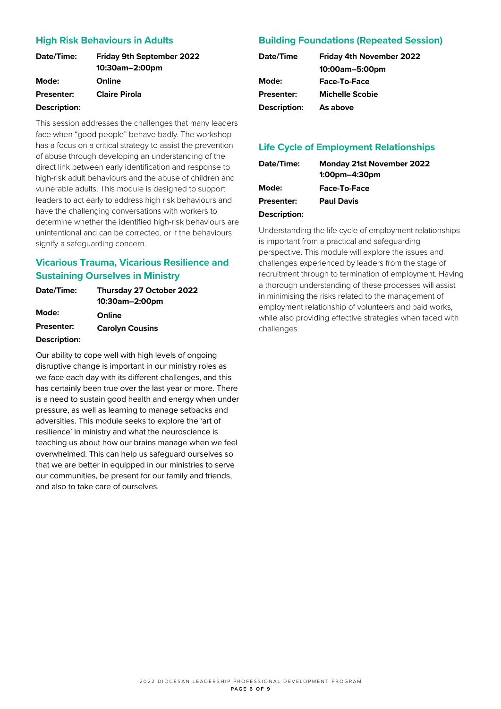# **High Risk Behaviours in Adults**

| Date/Time:          | <b>Friday 9th September 2022</b><br>10:30am-2:00pm |
|---------------------|----------------------------------------------------|
| Mode:               | Online                                             |
| <b>Presenter:</b>   | <b>Claire Pirola</b>                               |
| <b>Description:</b> |                                                    |

#### This session addresses the challenges that many leaders face when "good people" behave badly. The workshop has a focus on a critical strategy to assist the prevention of abuse through developing an understanding of the direct link between early identification and response to high-risk adult behaviours and the abuse of children and vulnerable adults. This module is designed to support leaders to act early to address high risk behaviours and have the challenging conversations with workers to determine whether the identified high-risk behaviours are unintentional and can be corrected, or if the behaviours signify a safeguarding concern.

# **Vicarious Trauma, Vicarious Resilience and Sustaining Ourselves in Ministry**

| Date/Time:          | Thursday 27 October 2022 |
|---------------------|--------------------------|
|                     | 10:30am-2:00pm           |
| Mode:               | Online                   |
| <b>Presenter:</b>   | <b>Carolyn Cousins</b>   |
| <b>Description:</b> |                          |

Our ability to cope well with high levels of ongoing disruptive change is important in our ministry roles as we face each day with its different challenges, and this has certainly been true over the last year or more. There is a need to sustain good health and energy when under pressure, as well as learning to manage setbacks and adversities. This module seeks to explore the 'art of resilience' in ministry and what the neuroscience is teaching us about how our brains manage when we feel overwhelmed. This can help us safeguard ourselves so that we are better in equipped in our ministries to serve our communities, be present for our family and friends, and also to take care of ourselves.

# **Building Foundations (Repeated Session)**

| <b>Friday 4th November 2022</b> |
|---------------------------------|
| 10:00am-5:00pm                  |
| Face-To-Face                    |
| <b>Michelle Scobie</b>          |
| As above                        |
|                                 |

# **Life Cycle of Employment Relationships**

| Date/Time:        | <b>Monday 21st November 2022</b><br>$1:00$ pm $-4:30$ pm |
|-------------------|----------------------------------------------------------|
| Mode:             | <b>Face-To-Face</b>                                      |
| <b>Presenter:</b> | <b>Paul Davis</b>                                        |

#### **Description:**

Understanding the life cycle of employment relationships is important from a practical and safeguarding perspective. This module will explore the issues and challenges experienced by leaders from the stage of recruitment through to termination of employment. Having a thorough understanding of these processes will assist in minimising the risks related to the management of employment relationship of volunteers and paid works, while also providing effective strategies when faced with challenges.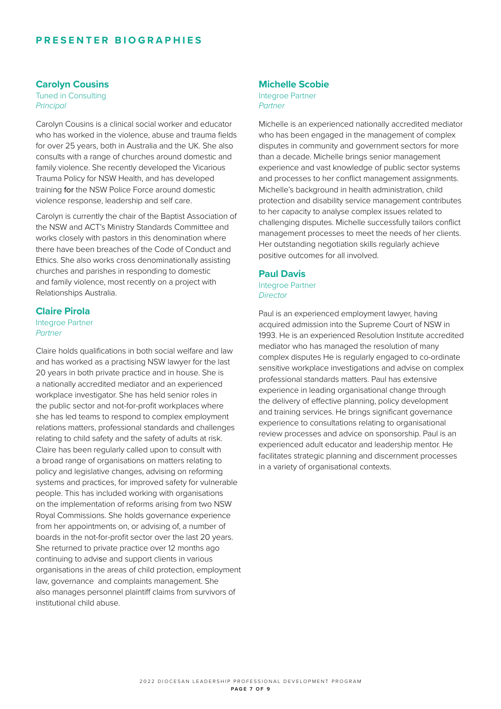# **PRESENTER BIOG RAPHIES**

#### **Carolyn Cousins**

Tuned in Consulting *Principal*

Carolyn Cousins is a clinical social worker and educator who has worked in the violence, abuse and trauma fields for over 25 years, both in Australia and the UK. She also consults with a range of churches around domestic and family violence. She recently developed the Vicarious Trauma Policy for NSW Health, and has developed training for the NSW Police Force around domestic violence response, leadership and self care.

Carolyn is currently the chair of the Baptist Association of the NSW and ACT's Ministry Standards Committee and works closely with pastors in this denomination where there have been breaches of the Code of Conduct and Ethics. She also works cross denominationally assisting churches and parishes in responding to domestic and family violence, most recently on a project with Relationships Australia.

#### **Claire Pirola**

#### Integroe Partner *Partner*

Claire holds qualifications in both social welfare and law and has worked as a practising NSW lawyer for the last 20 years in both private practice and in house. She is a nationally accredited mediator and an experienced workplace investigator. She has held senior roles in the public sector and not-for-profit workplaces where she has led teams to respond to complex employment relations matters, professional standards and challenges relating to child safety and the safety of adults at risk. Claire has been regularly called upon to consult with a broad range of organisations on matters relating to policy and legislative changes, advising on reforming systems and practices, for improved safety for vulnerable people. This has included working with organisations on the implementation of reforms arising from two NSW Royal Commissions. She holds governance experience from her appointments on, or advising of, a number of boards in the not-for-profit sector over the last 20 years. She returned to private practice over 12 months ago continuing to advise and support clients in various organisations in the areas of child protection, employment law, governance and complaints management. She also manages personnel plaintiff claims from survivors of institutional child abuse.

#### **Michelle Scobie**

Integroe Partner *Partner*

Michelle is an experienced nationally accredited mediator who has been engaged in the management of complex disputes in community and government sectors for more than a decade. Michelle brings senior management experience and vast knowledge of public sector systems and processes to her conflict management assignments. Michelle's background in health administration, child protection and disability service management contributes to her capacity to analyse complex issues related to challenging disputes. Michelle successfully tailors conflict management processes to meet the needs of her clients. Her outstanding negotiation skills regularly achieve positive outcomes for all involved.

#### **Paul Davis**

Integroe Partner *Director*

Paul is an experienced employment lawyer, having acquired admission into the Supreme Court of NSW in 1993. He is an experienced Resolution Institute accredited mediator who has managed the resolution of many complex disputes He is regularly engaged to co-ordinate sensitive workplace investigations and advise on complex professional standards matters. Paul has extensive experience in leading organisational change through the delivery of effective planning, policy development and training services. He brings significant governance experience to consultations relating to organisational review processes and advice on sponsorship. Paul is an experienced adult educator and leadership mentor. He facilitates strategic planning and discernment processes in a variety of organisational contexts.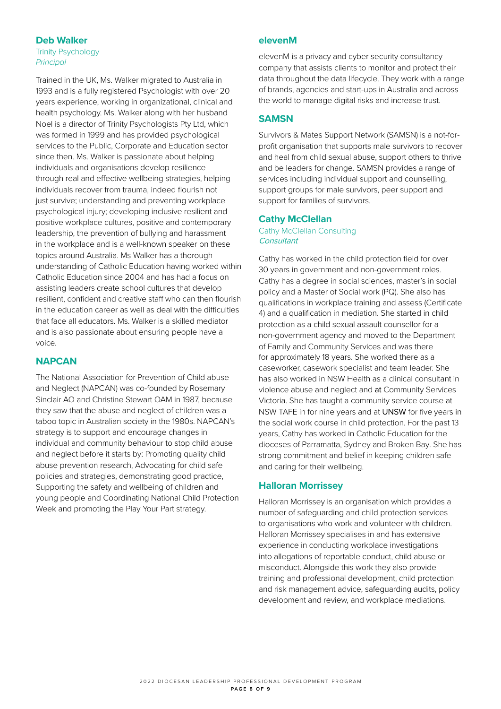## **Deb Walker**

Trinity Psychology *Principal*

Trained in the UK, Ms. Walker migrated to Australia in 1993 and is a fully registered Psychologist with over 20 years experience, working in organizational, clinical and health psychology. Ms. Walker along with her husband Noel is a director of Trinity Psychologists Pty Ltd, which was formed in 1999 and has provided psychological services to the Public, Corporate and Education sector since then. Ms. Walker is passionate about helping individuals and organisations develop resilience through real and effective wellbeing strategies, helping individuals recover from trauma, indeed flourish not just survive; understanding and preventing workplace psychological injury; developing inclusive resilient and positive workplace cultures, positive and contemporary leadership, the prevention of bullying and harassment in the workplace and is a well-known speaker on these topics around Australia. Ms Walker has a thorough understanding of Catholic Education having worked within Catholic Education since 2004 and has had a focus on assisting leaders create school cultures that develop resilient, confident and creative staff who can then flourish in the education career as well as deal with the difficulties that face all educators. Ms. Walker is a skilled mediator and is also passionate about ensuring people have a voice.

## **NAPCAN**

The National Association for Prevention of Child abuse and Neglect (NAPCAN) was co-founded by Rosemary Sinclair AO and Christine Stewart OAM in 1987, because they saw that the abuse and neglect of children was a taboo topic in Australian society in the 1980s. NAPCAN's strategy is to support and encourage changes in individual and community behaviour to stop child abuse and neglect before it starts by: Promoting quality child abuse prevention research, Advocating for child safe policies and strategies, demonstrating good practice, Supporting the safety and wellbeing of children and young people and Coordinating National Child Protection Week and promoting the Play Your Part strategy.

#### **elevenM**

elevenM is a privacy and cyber security consultancy company that assists clients to monitor and protect their data throughout the data lifecycle. They work with a range of brands, agencies and start-ups in Australia and across the world to manage digital risks and increase trust.

#### **SAMSN**

Survivors & Mates Support Network (SAMSN) is a not-forprofit organisation that supports male survivors to recover and heal from child sexual abuse, support others to thrive and be leaders for change. SAMSN provides a range of services including individual support and counselling, support groups for male survivors, peer support and support for families of survivors.

#### **Cathy McClellan**

Cathy McClellan Consulting **Consultant** 

Cathy has worked in the child protection field for over 30 years in government and non-government roles. Cathy has a degree in social sciences, master's in social policy and a Master of Social work (PQ). She also has qualifications in workplace training and assess (Certificate 4) and a qualification in mediation. She started in child protection as a child sexual assault counsellor for a non-government agency and moved to the Department of Family and Community Services and was there for approximately 18 years. She worked there as a caseworker, casework specialist and team leader. She has also worked in NSW Health as a clinical consultant in violence abuse and neglect and at Community Services Victoria. She has taught a community service course at NSW TAFE in for nine years and at UNSW for five years in the social work course in child protection. For the past 13 years, Cathy has worked in Catholic Education for the dioceses of Parramatta, Sydney and Broken Bay. She has strong commitment and belief in keeping children safe and caring for their wellbeing.

#### **Halloran Morrissey**

Halloran Morrissey is an organisation which provides a number of safeguarding and child protection services to organisations who work and volunteer with children. Halloran Morrissey specialises in and has extensive experience in conducting workplace investigations into allegations of reportable conduct, child abuse or misconduct. Alongside this work they also provide training and professional development, child protection and risk management advice, safeguarding audits, policy development and review, and workplace mediations.